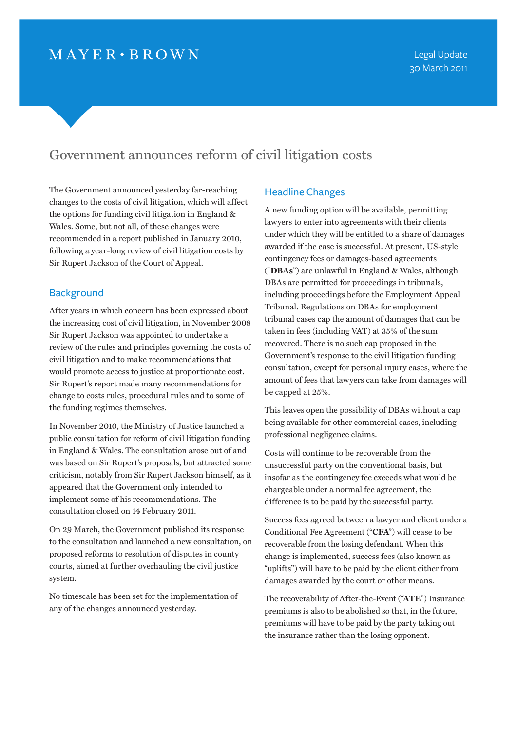# $MAYER \cdot BROWN$

## Government announces reform of civil litigation costs

The Government announced yesterday far-reaching changes to the costs of civil litigation, which will affect the options for funding civil litigation in England & Wales. Some, but not all, of these changes were recommended in a report published in January 2010, following a year-long review of civil litigation costs by Sir Rupert Jackson of the Court of Appeal.

## **Background**

After years in which concern has been expressed about the increasing cost of civil litigation, in November 2008 Sir Rupert Jackson was appointed to undertake a review of the rules and principles governing the costs of civil litigation and to make recommendations that would promote access to justice at proportionate cost. Sir Rupert's report made many recommendations for change to costs rules, procedural rules and to some of the funding regimes themselves.

In November 2010, the Ministry of Justice launched a public consultation for reform of civil litigation funding in England & Wales. The consultation arose out of and was based on Sir Rupert's proposals, but attracted some criticism, notably from Sir Rupert Jackson himself, as it appeared that the Government only intended to implement some of his recommendations. The consultation closed on 14 February 2011.

On 29 March, the Government published its response to the consultation and launched a new consultation, on proposed reforms to resolution of disputes in county courts, aimed at further overhauling the civil justice system.

No timescale has been set for the implementation of any of the changes announced yesterday.

### Headline Changes

A new funding option will be available, permitting lawyers to enter into agreements with their clients under which they will be entitled to a share of damages awarded if the case is successful. At present, US-style contingency fees or damages-based agreements ("**DBAs**") are unlawful in England & Wales, although DBAs are permitted for proceedings in tribunals, including proceedings before the Employment Appeal Tribunal. Regulations on DBAs for employment tribunal cases cap the amount of damages that can be taken in fees (including VAT) at 35% of the sum recovered. There is no such cap proposed in the Government's response to the civil litigation funding consultation, except for personal injury cases, where the amount of fees that lawyers can take from damages will be capped at 25%.

This leaves open the possibility of DBAs without a cap being available for other commercial cases, including professional negligence claims.

Costs will continue to be recoverable from the unsuccessful party on the conventional basis, but insofar as the contingency fee exceeds what would be chargeable under a normal fee agreement, the difference is to be paid by the successful party.

Success fees agreed between a lawyer and client under a Conditional Fee Agreement ("**CFA**") will cease to be recoverable from the losing defendant. When this change is implemented, success fees (also known as "uplifts") will have to be paid by the client either from damages awarded by the court or other means.

The recoverability of After-the-Event ("**ATE**") Insurance premiums is also to be abolished so that, in the future, premiums will have to be paid by the party taking out the insurance rather than the losing opponent.